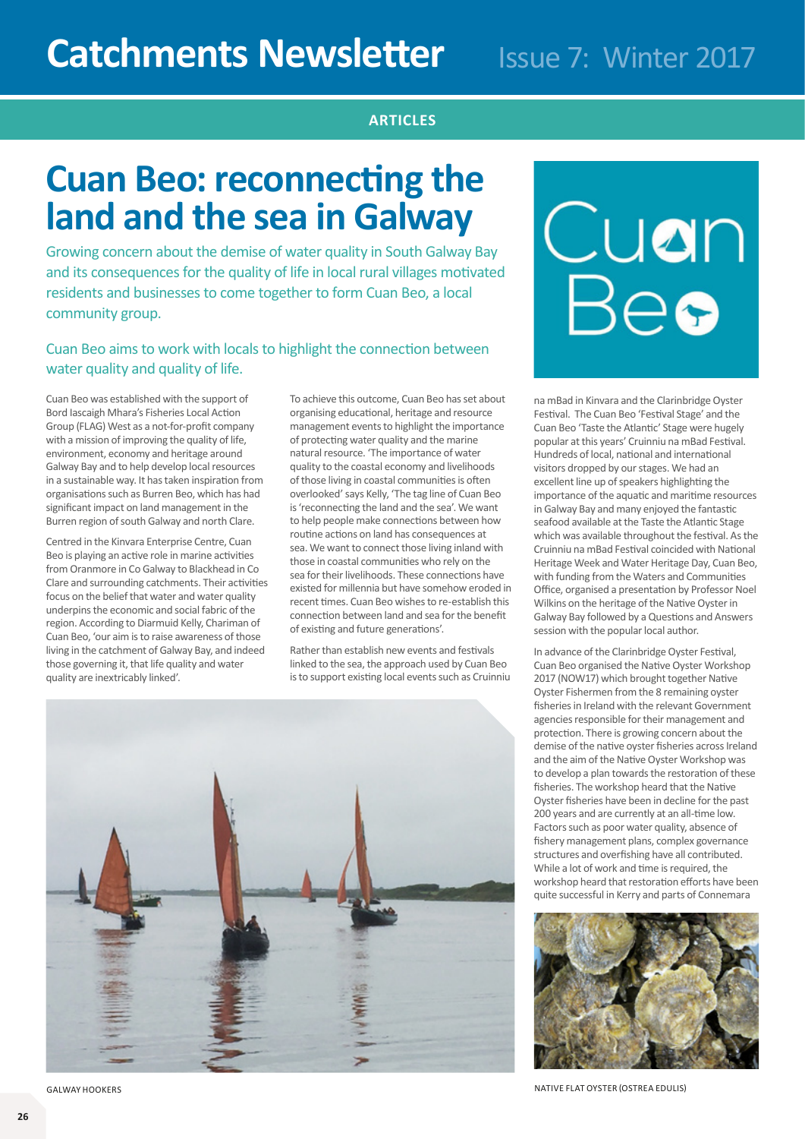## **ARTICLES ARTICLES**

# **Cuan Beo: reconnecting the land and the sea in Galway**

Growing concern about the demise of water quality in South Galway Bay and its consequences for the quality of life in local rural villages motivated residents and businesses to come together to form Cuan Beo, a local community group.

## Cuan Beo aims to work with locals to highlight the connection between water quality and quality of life.

Cuan Beo was established with the support of Bord Iascaigh Mhara's Fisheries Local Action Group (FLAG) West as a not-for-profit company with a mission of improving the quality of life, environment, economy and heritage around Galway Bay and to help develop local resources in a sustainable way. It has taken inspiration from organisations such as Burren Beo, which has had significant impact on land management in the Burren region of south Galway and north Clare.

Centred in the Kinvara Enterprise Centre, Cuan Beo is playing an active role in marine activities from Oranmore in Co Galway to Blackhead in Co Clare and surrounding catchments. Their activities focus on the belief that water and water quality underpins the economic and social fabric of the region. According to Diarmuid Kelly, Chariman of Cuan Beo, 'our aim is to raise awareness of those living in the catchment of Galway Bay, and indeed those governing it, that life quality and water quality are inextricably linked'.

To achieve this outcome, Cuan Beo has set about organising educational, heritage and resource management events to highlight the importance of protecting water quality and the marine natural resource. 'The importance of water quality to the coastal economy and livelihoods of those living in coastal communities is often overlooked' says Kelly, 'The tag line of Cuan Beo is 'reconnecting the land and the sea'. We want to help people make connections between how routine actions on land has consequences at sea. We want to connect those living inland with those in coastal communities who rely on the sea for their livelihoods. These connections have existed for millennia but have somehow eroded in recent times. Cuan Beo wishes to re-establish this connection between land and sea for the benefit of existing and future generations'.

Rather than establish new events and festivals linked to the sea, the approach used by Cuan Beo is to support existing local events such as Cruinniu



na mBad in Kinvara and the Clarinbridge Oyster Festival. The Cuan Beo 'Festival Stage' and the Cuan Beo 'Taste the Atlantic' Stage were hugely popular at this years' Cruinniu na mBad Festival. Hundreds of local, national and international visitors dropped by our stages. We had an excellent line up of speakers highlighting the importance of the aquatic and maritime resources in Galway Bay and many enjoyed the fantastic seafood available at the Taste the Atlantic Stage which was available throughout the festival. As the Cruinniu na mBad Festival coincided with National Heritage Week and Water Heritage Day, Cuan Beo, with funding from the Waters and Communities Office, organised a presentation by Professor Noel Wilkins on the heritage of the Native Oyster in Galway Bay followed by a Questions and Answers session with the popular local author.

In advance of the Clarinbridge Oyster Festival, Cuan Beo organised the Native Oyster Workshop 2017 (NOW17) which brought together Native Oyster Fishermen from the 8 remaining oyster fisheries in Ireland with the relevant Government agencies responsible for their management and protection. There is growing concern about the demise of the native oyster fisheries across Ireland and the aim of the Native Oyster Workshop was to develop a plan towards the restoration of these fisheries. The workshop heard that the Native Oyster fisheries have been in decline for the past 200 years and are currently at an all-time low. Factors such as poor water quality, absence of fishery management plans, complex governance structures and overfishing have all contributed. While a lot of work and time is required, the workshop heard that restoration efforts have been quite successful in Kerry and parts of Connemara



GALWAY HOOKERS NATIVE FLAT OYSTER (OSTREA EDULIS)